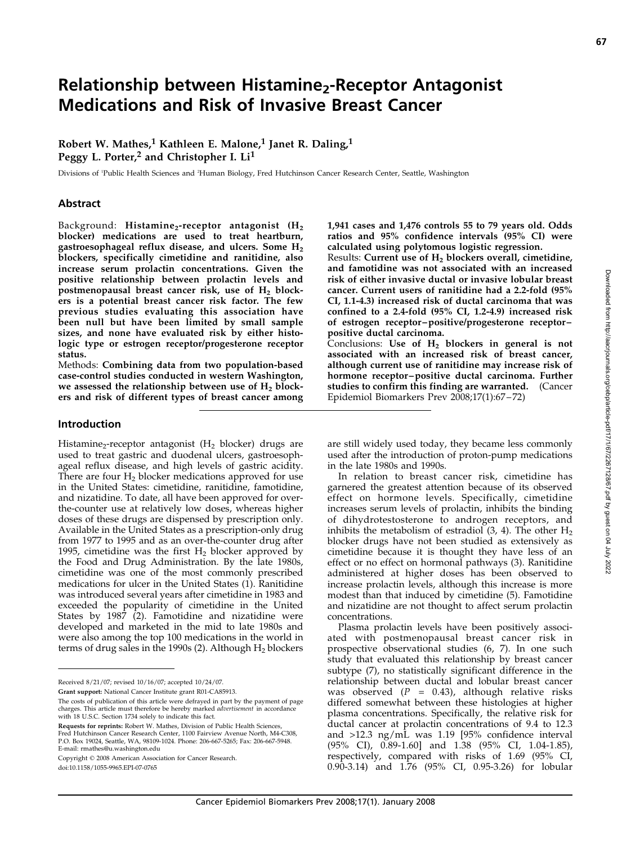Downloaded from http://aacrjournals.org/cebp/article-pdf/17/1/167/2267128/67.pdf by guest on 04 July 2022 Downloaded from http://aacrjournals.org/cebp/article-pdf/17/1/67/2267128/67.pdf by guest on 04 July 2022

# Relationship between Histamine<sub>2</sub>-Receptor Antagonist Medications and Risk of Invasive Breast Cancer

# Robert W. Mathes,<sup>1</sup> Kathleen E. Malone,<sup>1</sup> Janet R. Daling,<sup>1</sup> Peggy L. Porter,<sup>2</sup> and Christopher I.  $Li<sup>1</sup>$

Divisions of <sup>1</sup> Public Health Sciences and <sup>2</sup> Human Biology, Fred Hutchinson Cancer Research Center, Seattle, Washington

#### Abstract

Background: Histamine<sub>2</sub>-receptor antagonist  $(H_2)$ blocker) medications are used to treat heartburn, gastroesophageal reflux disease, and ulcers. Some  $H_2$ blockers, specifically cimetidine and ranitidine, also increase serum prolactin concentrations. Given the positive relationship between prolactin levels and postmenopausal breast cancer risk, use of  $H<sub>2</sub>$  blockers is a potential breast cancer risk factor. The few previous studies evaluating this association have been null but have been limited by small sample sizes, and none have evaluated risk by either histologic type or estrogen receptor/progesterone receptor status.

Methods: Combining data from two population-based case-control studies conducted in western Washington, we assessed the relationship between use of  $H_2$  blockers and risk of different types of breast cancer among

#### **Introduction**

Histamine<sub>2</sub>-receptor antagonist ( $H_2$  blocker) drugs are used to treat gastric and duodenal ulcers, gastroesophageal reflux disease, and high levels of gastric acidity. There are four  $H_2$  blocker medications approved for use in the United States: cimetidine, ranitidine, famotidine, and nizatidine. To date, all have been approved for overthe-counter use at relatively low doses, whereas higher doses of these drugs are dispensed by prescription only. Available in the United States as a prescription-only drug from 1977 to 1995 and as an over-the-counter drug after 1995, cimetidine was the first  $H_2$  blocker approved by the Food and Drug Administration. By the late 1980s, cimetidine was one of the most commonly prescribed medications for ulcer in the United States (1). Ranitidine was introduced several years after cimetidine in 1983 and exceeded the popularity of cimetidine in the United States by 1987 (2). Famotidine and nizatidine were developed and marketed in the mid to late 1980s and were also among the top 100 medications in the world in terms of drug sales in the 1990s (2). Although  $H_2$  blockers

Grant support: National Cancer Institute grant R01-CA85913.

Copyright © 2008 American Association for Cancer Research.

1,941 cases and 1,476 controls 55 to 79 years old. Odds ratios and 95% confidence intervals (95% CI) were calculated using polytomous logistic regression.

Results: Current use of  $H_2$  blockers overall, cimetidine, and famotidine was not associated with an increased risk of either invasive ductal or invasive lobular breast cancer. Current users of ranitidine had a 2.2-fold (95% CI, 1.1-4.3) increased risk of ductal carcinoma that was confined to a 2.4-fold (95% CI, 1.2-4.9) increased risk of estrogen receptor –positive/progesterone receptor – positive ductal carcinoma.

Conclusions: Use of  $H_2$  blockers in general is not associated with an increased risk of breast cancer, although current use of ranitidine may increase risk of hormone receptor-positive ductal carcinoma. Further studies to confirm this finding are warranted. (Cancer Epidemiol Biomarkers Prev 2008;17(1):67 – 72)

are still widely used today, they became less commonly used after the introduction of proton-pump medications in the late 1980s and 1990s.

In relation to breast cancer risk, cimetidine has garnered the greatest attention because of its observed effect on hormone levels. Specifically, cimetidine increases serum levels of prolactin, inhibits the binding of dihydrotestosterone to androgen receptors, and inhibits the metabolism of estradiol  $(3, 4)$ . The other  $H<sub>2</sub>$ blocker drugs have not been studied as extensively as cimetidine because it is thought they have less of an effect or no effect on hormonal pathways (3). Ranitidine administered at higher doses has been observed to increase prolactin levels, although this increase is more modest than that induced by cimetidine (5). Famotidine and nizatidine are not thought to affect serum prolactin concentrations.

Plasma prolactin levels have been positively associated with postmenopausal breast cancer risk in prospective observational studies (6, 7). In one such study that evaluated this relationship by breast cancer subtype (7), no statistically significant difference in the relationship between ductal and lobular breast cancer was observed ( $P = 0.43$ ), although relative risks differed somewhat between these histologies at higher plasma concentrations. Specifically, the relative risk for ductal cancer at prolactin concentrations of 9.4 to 12.3 and >12.3 ng/mL was 1.19 [95% confidence interval (95% CI), 0.89-1.60] and 1.38 (95% CI, 1.04-1.85), respectively, compared with risks of 1.69 (95% CI, 0.90-3.14) and 1.76 (95% CI, 0.95-3.26) for lobular

Received 8/21/07; revised 10/16/07; accepted 10/24/07.

The costs of publication of this article were defrayed in part by the payment of page charges. This article must therefore be hereby marked *advertisement* in accordance with 18 U.S.C. Section 1734 solely to indicate this fact.

Requests for reprints: Robert W. Mathes, Division of Public Health Sciences, Fred Hutchinson Cancer Research Center, 1100 Fairview Avenue North, M4-C308, P.O. Box 19024, Seattle, WA, 98109-1024. Phone: 206-667-5265; Fax: 206-667-5948. E-mail: rmathes@u.washington.edu

doi:10.1158/1055-9965.EPI-07-0765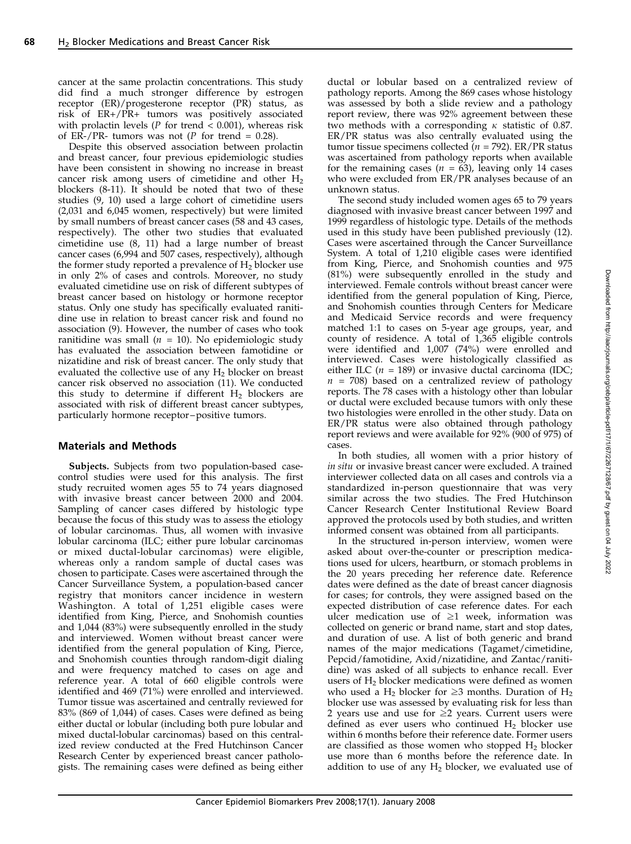cancer at the same prolactin concentrations. This study did find a much stronger difference by estrogen receptor (ER)/progesterone receptor (PR) status, as risk of  $ER+/PR+$  tumors was positively associated with prolactin levels ( $P$  for trend < 0.001), whereas risk of ER-/PR- tumors was not (P for trend = 0.28).

Despite this observed association between prolactin and breast cancer, four previous epidemiologic studies have been consistent in showing no increase in breast cancer risk among users of cimetidine and other  $H_2$ blockers (8-11). It should be noted that two of these studies (9, 10) used a large cohort of cimetidine users (2,031 and 6,045 women, respectively) but were limited by small numbers of breast cancer cases (58 and 43 cases, respectively). The other two studies that evaluated cimetidine use (8, 11) had a large number of breast cancer cases (6,994 and 507 cases, respectively), although the former study reported a prevalence of  $H_2$  blocker use in only 2% of cases and controls. Moreover, no study evaluated cimetidine use on risk of different subtypes of breast cancer based on histology or hormone receptor status. Only one study has specifically evaluated ranitidine use in relation to breast cancer riskand found no association (9). However, the number of cases who took ranitidine was small ( $n = 10$ ). No epidemiologic study has evaluated the association between famotidine or nizatidine and risk of breast cancer. The only study that evaluated the collective use of any  $H_2$  blocker on breast cancer risk observed no association (11). We conducted this study to determine if different  $H_2$  blockers are associated with risk of different breast cancer subtypes, particularly hormone receptor –positive tumors.

# Materials and Methods

Subjects. Subjects from two population-based casecontrol studies were used for this analysis. The first study recruited women ages 55 to 74 years diagnosed with invasive breast cancer between 2000 and 2004. Sampling of cancer cases differed by histologic type because the focus of this study was to assess the etiology of lobular carcinomas. Thus, all women with invasive lobular carcinoma (ILC; either pure lobular carcinomas or mixed ductal-lobular carcinomas) were eligible, whereas only a random sample of ductal cases was chosen to participate. Cases were ascertained through the Cancer Surveillance System, a population-based cancer registry that monitors cancer incidence in western Washington. A total of 1,251 eligible cases were identified from King, Pierce, and Snohomish counties and 1,044 (83%) were subsequently enrolled in the study and interviewed. Women without breast cancer were identified from the general population of King, Pierce, and Snohomish counties through random-digit dialing and were frequency matched to cases on age and reference year. A total of 660 eligible controls were identified and 469 (71%) were enrolled and interviewed. Tumor tissue was ascertained and centrally reviewed for 83% (869 of 1,044) of cases. Cases were defined as being either ductal or lobular (including both pure lobular and mixed ductal-lobular carcinomas) based on this centralized review conducted at the Fred Hutchinson Cancer Research Center by experienced breast cancer pathologists. The remaining cases were defined as being either ductal or lobular based on a centralized review of pathology reports. Among the 869 cases whose histology was assessed by both a slide review and a pathology report review, there was 92% agreement between these two methods with a corresponding  $\kappa$  statistic of 0.87. ER/PR status was also centrally evaluated using the tumor tissue specimens collected ( $n = 792$ ). ER/PR status was ascertained from pathology reports when available for the remaining cases ( $n = 63$ ), leaving only 14 cases who were excluded from ER/PR analyses because of an unknown status.

The second study included women ages 65 to 79 years diagnosed with invasive breast cancer between 1997 and 1999 regardless of histologic type. Details of the methods used in this study have been published previously (12). Cases were ascertained through the Cancer Surveillance System. A total of 1,210 eligible cases were identified from King, Pierce, and Snohomish counties and 975 (81%) were subsequently enrolled in the study and interviewed. Female controls without breast cancer were identified from the general population of King, Pierce, and Snohomish counties through Centers for Medicare and Medicaid Service records and were frequency matched 1:1 to cases on 5-year age groups, year, and county of residence. A total of 1,365 eligible controls were identified and 1,007 (74%) were enrolled and interviewed. Cases were histologically classified as either ILC ( $n = 189$ ) or invasive ductal carcinoma (IDC;  $n = 708$ ) based on a centralized review of pathology reports. The 78 cases with a histology other than lobular or ductal were excluded because tumors with only these two histologies were enrolled in the other study. Data on ER/PR status were also obtained through pathology report reviews and were available for 92% (900 of 975) of cases.

In both studies, all women with a prior history of in situ or invasive breast cancer were excluded. A trained interviewer collected data on all cases and controls via a standardized in-person questionnaire that was very similar across the two studies. The Fred Hutchinson Cancer Research Center Institutional Review Board approved the protocols used by both studies, and written informed consent was obtained from all participants.

In the structured in-person interview, women were asked about over-the-counter or prescription medications used for ulcers, heartburn, or stomach problems in the 20 years preceding her reference date. Reference dates were defined as the date of breast cancer diagnosis for cases; for controls, they were assigned based on the expected distribution of case reference dates. For each ulcer medication use of  $\geq$ 1 week, information was collected on generic or brand name, start and stop dates, and duration of use. A list of both generic and brand names of the major medications (Tagamet/cimetidine, Pepcid/famotidine, Axid/nizatidine, and Zantac/ranitidine) was asked of all subjects to enhance recall. Ever users of  $H_2$  blocker medications were defined as women who used a H<sub>2</sub> blocker for  $\geq$ 3 months. Duration of H<sub>2</sub> blocker use was assessed by evaluating risk for less than 2 years use and use for  $\geq 2$  years. Current users were defined as ever users who continued  $H_2$  blocker use within 6 months before their reference date. Former users are classified as those women who stopped  $H_2$  blocker use more than 6 months before the reference date. In addition to use of any  $H_2$  blocker, we evaluated use of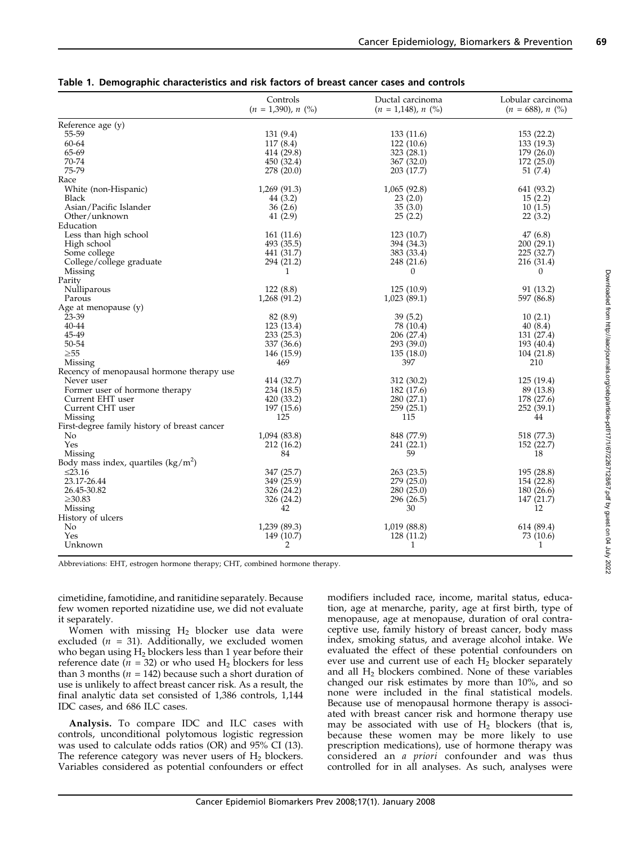|                                              | Controls<br>$(n = 1,390)$ , n $(\%)$ | Ductal carcinoma<br>$(n = 1,148), n$ (%) | Lobular carcinoma<br>$(n = 688)$ , n $(\%)$ |
|----------------------------------------------|--------------------------------------|------------------------------------------|---------------------------------------------|
| Reference age (y)                            |                                      |                                          |                                             |
| 55-59                                        | 131(9.4)                             | 133 (11.6)                               | 153 (22.2)                                  |
| 60-64                                        | 117(8.4)                             | 122(10.6)                                | 133 (19.3)                                  |
| 65-69                                        | 414(29.8)                            | 323 $(28.1)$                             | 179 (26.0)                                  |
| 70-74                                        | 450 (32.4)                           | 367 (32.0)                               | 172 (25.0)                                  |
| 75-79                                        | 278 (20.0)                           | 203 (17.7)                               | 51(7.4)                                     |
| Race                                         |                                      |                                          |                                             |
| White (non-Hispanic)                         | 1,269 (91.3)                         | 1,065(92.8)                              | 641 (93.2)                                  |
| Black                                        | 44 (3.2)                             | 23(2.0)                                  | 15(2.2)                                     |
| Asian/Pacific Islander                       | 36(2.6)                              | 35(3.0)                                  | 10(1.5)                                     |
| Other/unknown                                | 41(2.9)                              | 25(2.2)                                  | 22(3.2)                                     |
| Education                                    |                                      |                                          |                                             |
| Less than high school                        | 161(11.6)                            | 123(10.7)                                | 47(6.8)                                     |
| High school                                  | 493 (35.5)                           | 394 (34.3)                               | 200(29.1)                                   |
| Some college                                 | 441 (31.7)                           | 383 (33.4)                               | 225 (32.7)                                  |
| College/college graduate                     | 294 (21.2)                           | 248 (21.6)                               | 216 (31.4)                                  |
| Missing                                      | 1.                                   | $\Omega$                                 | 0                                           |
| Parity                                       |                                      |                                          |                                             |
| Nulliparous                                  | 122(8.8)                             | 125(10.9)                                | 91 (13.2)                                   |
| Parous                                       | 1,268 (91.2)                         | 1,023(89.1)                              | 597 (86.8)                                  |
| Age at menopause (y)                         |                                      |                                          |                                             |
| 23-39                                        | 82 (8.9)                             | 39(5.2)                                  | 10(2.1)                                     |
| 40-44                                        | 123 (13.4)                           | 78 (10.4)                                | 40(8.4)                                     |
| 45-49                                        | 233(25.3)                            | 206 (27.4)                               | 131 (27.4)                                  |
| 50-54                                        | 337 (36.6)                           | 293 (39.0)                               | 193 (40.4)                                  |
| $\geq 55$                                    | 146 (15.9)                           | 135 (18.0)                               | 104(21.8)                                   |
| Missing                                      | 469                                  | 397                                      | 210                                         |
| Recency of menopausal hormone therapy use    |                                      |                                          |                                             |
| Never user                                   | 414 (32.7)                           | 312 (30.2)                               | 125(19.4)                                   |
| Former user of hormone therapy               | 234 (18.5)                           | 182 (17.6)                               | 89 (13.8)                                   |
| Current EHT user                             | 420 (33.2)                           | 280 (27.1)                               | 178 (27.6)                                  |
| Current CHT user                             | 197 (15.6)                           | 259 (25.1)                               | 252 (39.1)                                  |
| Missing                                      | 125                                  | 115                                      | 44                                          |
| First-degree family history of breast cancer |                                      |                                          |                                             |
| No                                           | 1,094 (83.8)                         | 848 (77.9)                               | 518 (77.3)                                  |
| Yes                                          | 212(16.2)                            | 241(22.1)                                | 152 (22.7)                                  |
| Missing                                      | 84                                   | 59                                       | 18                                          |
| Body mass index, quartiles $(kg/m^2)$        |                                      |                                          |                                             |
| $\leq$ 23.16                                 | 347 (25.7)                           | 263 (23.5)                               | 195 (28.8)                                  |
| 23.17-26.44                                  | 349 (25.9)                           | 279 (25.0)                               | 154 (22.8)                                  |
| 26.45-30.82                                  | 326 (24.2)                           | 280(25.0)                                | 180 (26.6)                                  |
| $\geq 30.83$                                 | 326 (24.2)                           | 296 (26.5)                               | 147 (21.7)                                  |
| Missing                                      | 42                                   | 30                                       | 12                                          |
| History of ulcers                            |                                      |                                          |                                             |
| No                                           | 1,239 (89.3)                         | 1,019 (88.8)                             | 614 (89.4)                                  |
| Yes                                          | 149 (10.7)                           | 128 (11.2)                               | 73 (10.6)                                   |
| Unknown                                      | 2                                    | $\mathbf{1}$                             | $\mathbf{1}$                                |

# Table 1. Demographic characteristics and risk factors of breast cancer cases and controls

Abbreviations: EHT, estrogen hormone therapy; CHT, combined hormone therapy.

cimetidine, famotidine, and ranitidine separately. Because few women reported nizatidine use, we did not evaluate it separately.

Women with missing  $H_2$  blocker use data were excluded ( $n = 31$ ). Additionally, we excluded women who began using  $H_2$  blockers less than 1 year before their reference date ( $n = 32$ ) or who used H<sub>2</sub> blockers for less than 3 months ( $n = 142$ ) because such a short duration of use is unlikely to affect breast cancer risk. As a result, the final analytic data set consisted of 1,386 controls, 1,144 IDC cases, and 686 ILC cases.

Analysis. To compare IDC and ILC cases with controls, unconditional polytomous logistic regression was used to calculate odds ratios (OR) and 95% CI (13). The reference category was never users of  $H_2$  blockers. Variables considered as potential confounders or effect modifiers included race, income, marital status, education, age at menarche, parity, age at first birth, type of menopause, age at menopause, duration of oral contraceptive use, family history of breast cancer, body mass index, smoking status, and average alcohol intake. We evaluated the effect of these potential confounders on ever use and current use of each  $H_2$  blocker separately and all  $H_2$  blockers combined. None of these variables changed our risk estimates by more than 10%, and so none were included in the final statistical models. Because use of menopausal hormone therapy is associated with breast cancer risk and hormone therapy use may be associated with use of  $H_2$  blockers (that is, because these women may be more likely to use prescription medications), use of hormone therapy was considered an a priori confounder and was thus controlled for in all analyses. As such, analyses were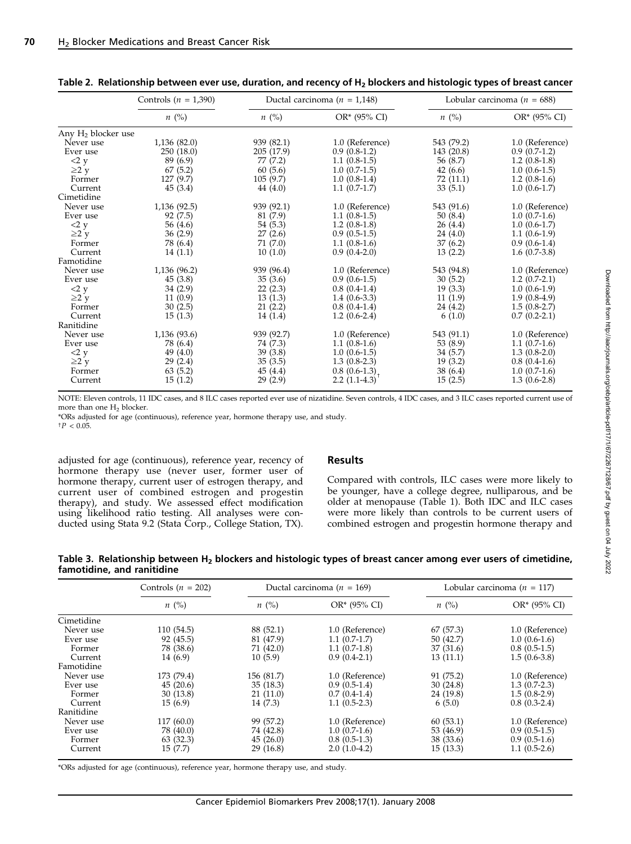|                                | Controls $(n = 1,390)$ |            | Ductal carcinoma ( $n = 1.148$ ) |            | Lobular carcinoma ( $n = 688$ ) |  |
|--------------------------------|------------------------|------------|----------------------------------|------------|---------------------------------|--|
|                                | $n \ (\%)$             | $n \ (\%)$ | OR* (95% CI)                     | $n \ (\%)$ | $OR^*$ (95% CI)                 |  |
| Any H <sub>2</sub> blocker use |                        |            |                                  |            |                                 |  |
| Never use                      | 1,136 (82.0)           | 939 (82.1) | 1.0 (Reference)                  | 543 (79.2) | 1.0 (Reference)                 |  |
| Ever use                       | 250(18.0)              | 205(17.9)  | $0.9(0.8-1.2)$                   | 143 (20.8) | $0.9(0.7-1.2)$                  |  |
| $<$ 2 y                        | 89 (6.9)               | 77 (7.2)   | $1.1(0.8-1.5)$                   | 56 (8.7)   | $1.2(0.8-1.8)$                  |  |
| $\geq$ 2 y                     | 67(5.2)                | 60(5.6)    | $1.0(0.7-1.5)$                   | 42(6.6)    | $1.0(0.6-1.5)$                  |  |
| Former                         | 127(9.7)               | 105(9.7)   | $1.0(0.8-1.4)$                   | 72 (11.1)  | $1.2(0.8-1.6)$                  |  |
| Current                        | 45(3.4)                | 44 (4.0)   | $1.1(0.7-1.7)$                   | 33(5.1)    | $1.0(0.6-1.7)$                  |  |
| Cimetidine                     |                        |            |                                  |            |                                 |  |
| Never use                      | 1,136 (92.5)           | 939 (92.1) | 1.0 (Reference)                  | 543 (91.6) | 1.0 (Reference)                 |  |
| Ever use                       | 92 (7.5)               | 81 (7.9)   | $1.1(0.8-1.5)$                   | 50(8.4)    | $1.0(0.7-1.6)$                  |  |
| $<$ 2 y                        | 56 (4.6)               | 54 (5.3)   | $1.2(0.8-1.8)$                   | 26(4.4)    | $1.0(0.6-1.7)$                  |  |
| $\geq$ 2 y                     | 36(2.9)                | 27(2.6)    | $0.9(0.5-1.5)$                   | 24(4.0)    | $1.1(0.6-1.9)$                  |  |
| Former                         | 78 (6.4)               | 71 (7.0)   | $1.1(0.8-1.6)$                   | 37(6.2)    | $0.9(0.6-1.4)$                  |  |
| Current                        | 14(1.1)                | 10(1.0)    | $0.9(0.4-2.0)$                   | 13(2.2)    | $1.6(0.7-3.8)$                  |  |
| Famotidine                     |                        |            |                                  |            |                                 |  |
| Never use                      | 1,136 (96.2)           | 939 (96.4) | 1.0 (Reference)                  | 543 (94.8) | 1.0 (Reference)                 |  |
| Ever use                       | 45(3.8)                | 35(3.6)    | $0.9(0.6-1.5)$                   | 30(5.2)    | $1.2(0.7-2.1)$                  |  |
| $<$ 2 y                        | 34(2.9)                | 22(2.3)    | $0.8(0.4-1.4)$                   | 19(3.3)    | $1.0(0.6-1.9)$                  |  |
| $\geq$ 2 y                     | 11(0.9)                | 13(1.3)    | $1.4(0.6-3.3)$                   | 11(1.9)    | $1.9(0.8-4.9)$                  |  |
| Former                         | 30(2.5)                | 21(2.2)    | $0.8(0.4-1.4)$                   | 24 (4.2)   | $1.5(0.8-2.7)$                  |  |
| Current                        | 15(1.3)                | 14(1.4)    | $1.2(0.6-2.4)$                   | 6(1.0)     | $0.7(0.2-2.1)$                  |  |
| Ranitidine                     |                        |            |                                  |            |                                 |  |
| Never use                      | 1,136 (93.6)           | 939 (92.7) | 1.0 (Reference)                  | 543 (91.1) | 1.0 (Reference)                 |  |
| Ever use                       | 78 (6.4)               | 74 (7.3)   | $1.1(0.8-1.6)$                   | 53 (8.9)   | $1.1(0.7-1.6)$                  |  |
| $<$ 2 y                        | 49 (4.0)               | 39(3.8)    | $1.0(0.6-1.5)$                   | 34 (5.7)   | $1.3(0.8-2.0)$                  |  |
| $\geq$ 2 y                     | 29(2.4)                | 35(3.5)    | $1.3(0.8-2.3)$                   | 19(3.2)    | $0.8(0.4-1.6)$                  |  |
| Former                         | 63(5.2)                | 45(4.4)    | $0.8(0.6-1.3)$                   | 38 (6.4)   | $1.0(0.7-1.6)$                  |  |
| Current                        | 15(1.2)                | 29(2.9)    | $2.2(1.1-4.3)$                   | 15(2.5)    | $1.3(0.6-2.8)$                  |  |
|                                |                        |            |                                  |            |                                 |  |

|  |  | Table 2. Relationship between ever use, duration, and recency of H $_2$ blockers and histologic types of breast cancer |
|--|--|------------------------------------------------------------------------------------------------------------------------|
|--|--|------------------------------------------------------------------------------------------------------------------------|

NOTE: Eleven controls, 11 IDC cases, and 8 ILC cases reported ever use of nizatidine. Seven controls, 4 IDC cases, and 3 ILC cases reported current use of more than one H<sub>2</sub> blocker.

\*ORs adjusted for age (continuous), reference year, hormone therapy use, and study.

 $tP < 0.05$ 

adjusted for age (continuous), reference year, recency of hormone therapy use (never user, former user of hormone therapy, current user of estrogen therapy, and current user of combined estrogen and progestin therapy), and study. We assessed effect modification using likelihood ratio testing. All analyses were conducted using Stata 9.2 (Stata Corp., College Station, TX).

#### Results

Compared with controls, ILC cases were more likely to be younger, have a college degree, nulliparous, and be older at menopause (Table 1). Both IDC and ILC cases were more likely than controls to be current users of combined estrogen and progestin hormone therapy and

Table 3. Relationship between  $H_2$  blockers and histologic types of breast cancer among ever users of cimetidine, famotidine, and ranitidine

|            | Controls $(n = 202)$<br>$n \ (\%)$ | Ductal carcinoma ( $n = 169$ ) |                 | Lobular carcinoma ( $n = 117$ ) |                 |
|------------|------------------------------------|--------------------------------|-----------------|---------------------------------|-----------------|
|            |                                    | $n \ (\%)$                     | $OR^*$ (95% CI) | $n \ (\%)$                      | $OR^*$ (95% CI) |
| Cimetidine |                                    |                                |                 |                                 |                 |
| Never use  | 110 (54.5)                         | 88 (52.1)                      | 1.0 (Reference) | 67 (57.3)                       | 1.0 (Reference) |
| Ever use   | 92 (45.5)                          | 81 (47.9)                      | $1.1(0.7-1.7)$  | 50 (42.7)                       | $1.0(0.6-1.6)$  |
| Former     | 78 (38.6)                          | 71 (42.0)                      | $1.1(0.7-1.8)$  | 37 (31.6)                       | $0.8(0.5-1.5)$  |
| Current    | 14(6.9)                            | 10(5.9)                        | $0.9(0.4-2.1)$  | 13(11.1)                        | $1.5(0.6-3.8)$  |
| Famotidine |                                    |                                |                 |                                 |                 |
| Never use  | 173 (79.4)                         | 156 (81.7)                     | 1.0 (Reference) | 91 (75.2)                       | 1.0 (Reference) |
| Ever use   | 45(20.6)                           | 35(18.3)                       | $0.9(0.5-1.4)$  | 30(24.8)                        | $1.3(0.7-2.3)$  |
| Former     | 30(13.8)                           | 21(11.0)                       | $0.7(0.4-1.4)$  | 24 (19.8)                       | $1.5(0.8-2.9)$  |
| Current    | 15(6.9)                            | 14 (7.3)                       | $1.1(0.5-2.3)$  | 6(5.0)                          | $0.8(0.3-2.4)$  |
| Ranitidine |                                    |                                |                 |                                 |                 |
| Never use  | 117 (60.0)                         | 99 (57.2)                      | 1.0 (Reference) | 60(53.1)                        | 1.0 (Reference) |
| Ever use   | 78 (40.0)                          | 74 (42.8)                      | $1.0(0.7-1.6)$  | 53 (46.9)                       | $0.9(0.5-1.5)$  |
| Former     | 63(32.3)                           | 45(26.0)                       | $0.8(0.5-1.3)$  | 38 (33.6)                       | $0.9(0.5-1.6)$  |
| Current    | 15(7.7)                            | 29(16.8)                       | $2.0(1.0-4.2)$  | 15(13.3)                        | $1.1(0.5-2.6)$  |

\*ORs adjusted for age (continuous), reference year, hormone therapy use, and study.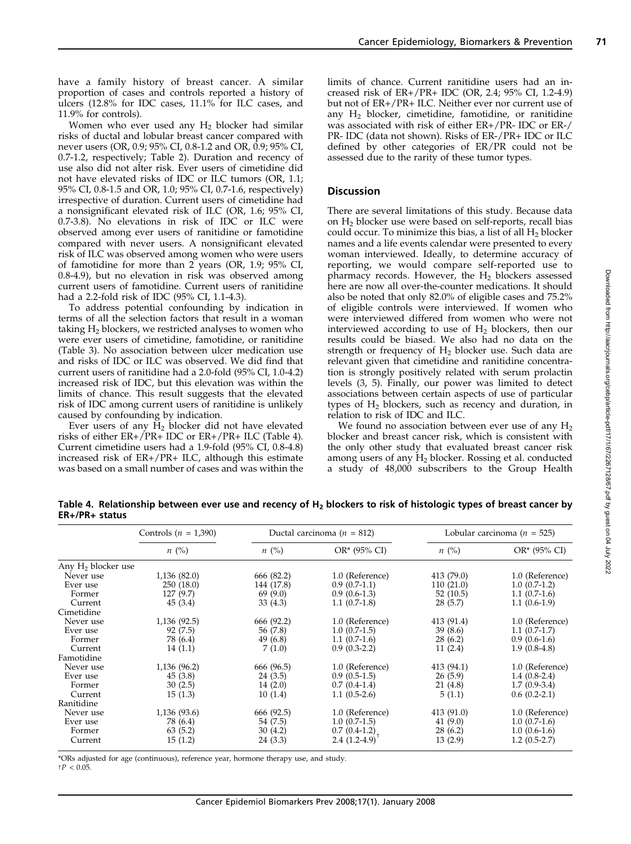have a family history of breast cancer. A similar proportion of cases and controls reported a history of ulcers (12.8% for IDC cases, 11.1% for ILC cases, and 11.9% for controls).

Women who ever used any  $H_2$  blocker had similar risks of ductal and lobular breast cancer compared with never users (OR, 0.9; 95% CI, 0.8-1.2 and OR, 0.9; 95% CI, 0.7-1.2, respectively; Table 2). Duration and recency of use also did not alter risk. Ever users of cimetidine did not have elevated risks of IDC or ILC tumors (OR, 1.1; 95% CI, 0.8-1.5 and OR, 1.0; 95% CI, 0.7-1.6, respectively) irrespective of duration. Current users of cimetidine had a nonsignificant elevated risk of ILC (OR, 1.6; 95% CI, 0.7-3.8). No elevations in risk of IDC or ILC were observed among ever users of ranitidine or famotidine compared with never users. A nonsignificant elevated risk of ILC was observed among women who were users of famotidine for more than  $2$  years (OR, 1.9; 95% CI, 0.8-4.9), but no elevation in risk was observed among current users of famotidine. Current users of ranitidine had a 2.2-fold risk of IDC (95% CI, 1.1-4.3).

To address potential confounding by indication in terms of all the selection factors that result in a woman taking H<sub>2</sub> blockers, we restricted analyses to women who were ever users of cimetidine, famotidine, or ranitidine (Table 3). No association between ulcer medication use and risks of IDC or ILC was observed. We did find that current users of ranitidine had a 2.0-fold (95% CI, 1.0-4.2) increased risk of IDC, but this elevation was within the limits of chance. This result suggests that the elevated risk of IDC among current users of ranitidine is unlikely caused by confounding by indication.

Ever users of any  $\check{H}_2$  blocker did not have elevated risks of either ER+/PR+ IDC or ER+/PR+ ILC (Table 4). Current cimetidine users had a 1.9-fold (95% CI, 0.8-4.8) increased risk of  $ER+/PR+ ILC$ , although this estimate was based on a small number of cases and was within the limits of chance. Current ranitidine users had an increased riskof ER+/PR+ IDC (OR, 2.4; 95% CI, 1.2-4.9) but not of ER+/PR+ ILC. Neither ever nor current use of any  $H_2$  blocker, cimetidine, famotidine, or ranitidine was associated with risk of either ER+/PR- IDC or ER-/ PR- IDC (data not shown). Risks of ER-/PR+ IDC or ILC defined by other categories of ER/PR could not be assessed due to the rarity of these tumor types.

## **Discussion**

There are several limitations of this study. Because data on H2 blocker use were based on self-reports, recall bias could occur. To minimize this bias, a list of all  $H_2$  blocker names and a life events calendar were presented to every woman interviewed. Ideally, to determine accuracy of reporting, we would compare self-reported use to pharmacy records. However, the  $H_2$  blockers assessed here are now all over-the-counter medications. It should also be noted that only 82.0% of eligible cases and 75.2% of eligible controls were interviewed. If women who were interviewed differed from women who were not interviewed according to use of  $H_2$  blockers, then our results could be biased. We also had no data on the strength or frequency of  $H_2$  blocker use. Such data are relevant given that cimetidine and ranitidine concentration is strongly positively related with serum prolactin levels (3, 5). Finally, our power was limited to detect associations between certain aspects of use of particular types of  $H_2$  blockers, such as recency and duration, in relation to risk of IDC and ILC.

We found no association between ever use of any  $H_2$ blocker and breast cancer risk, which is consistent with the only other study that evaluated breast cancer risk among users of any  $H_2$  blocker. Rossing et al. conducted a study of 48,000 subscribers to the Group Health

Table 4. Relationship between ever use and recency of  $H_2$  blockers to risk of histologic types of breast cancer by ER+/PR+ status

|                       | Controls $(n = 1,390)$ | Ductal carcinoma ( $n = 812$ ) |                 | Lobular carcinoma ( $n = 525$ ) |                 |
|-----------------------|------------------------|--------------------------------|-----------------|---------------------------------|-----------------|
|                       | $n \ (\%)$             | $n \ (\%)$                     | $OR^*$ (95% CI) | $n \ (\%)$                      | $OR^*$ (95% CI) |
| Any $H_2$ blocker use |                        |                                |                 |                                 |                 |
| Never use             | 1,136 (82.0)           | 666 (82.2)                     | 1.0 (Reference) | 413 (79.0)                      | 1.0 (Reference) |
| Ever use              | 250 (18.0)             | 144 (17.8)                     | $0.9(0.7-1.1)$  | 110(21.0)                       | $1.0(0.7-1.2)$  |
| Former                | 127(9.7)               | 69(9.0)                        | $0.9(0.6-1.3)$  | 52 (10.5)                       | $1.1(0.7-1.6)$  |
| Current               | 45(3.4)                | 33(4.3)                        | $1.1(0.7-1.8)$  | 28(5.7)                         | $1.1(0.6-1.9)$  |
| Cimetidine            |                        |                                |                 |                                 |                 |
| Never use             | 1,136 (92.5)           | 666 (92.2)                     | 1.0 (Reference) | 413 (91.4)                      | 1.0 (Reference) |
| Ever use              | 92 (7.5)               | 56 (7.8)                       | $1.0(0.7-1.5)$  | 39(8.6)                         | $1.1(0.7-1.7)$  |
| Former                | 78 (6.4)               | 49 (6.8)                       | $1.1(0.7-1.6)$  | 28(6.2)                         | $0.9(0.6-1.6)$  |
| Current               | 14(1.1)                | 7(1.0)                         | $0.9(0.3-2.2)$  | 11(2.4)                         | $1.9(0.8-4.8)$  |
| Famotidine            |                        |                                |                 |                                 |                 |
| Never use             | 1,136 (96.2)           | 666 (96.5)                     | 1.0 (Reference) | 413 (94.1)                      | 1.0 (Reference) |
| Ever use              | 45(3.8)                | 24(3.5)                        | $0.9(0.5-1.5)$  | 26(5.9)                         | $1.4(0.8-2.4)$  |
| Former                | 30(2.5)                | 14(2.0)                        | $0.7(0.4-1.4)$  | 21 (4.8)                        | $1.7(0.9-3.4)$  |
| Current               | 15(1.3)                | 10(1.4)                        | $1.1(0.5-2.6)$  | 5(1.1)                          | $0.6(0.2-2.1)$  |
| Ranitidine            |                        |                                |                 |                                 |                 |
| Never use             | 1,136 (93.6)           | 666 (92.5)                     | 1.0 (Reference) | 413 (91.0)                      | 1.0 (Reference) |
| Ever use              | 78 (6.4)               | 54 (7.5)                       | $1.0(0.7-1.5)$  | 41 $(9.0)$                      | $1.0(0.7-1.6)$  |
| Former                | 63(5.2)                | 30(4.2)                        | $0.7(0.4-1.2)$  | 28(6.2)                         | $1.0(0.6-1.6)$  |
| Current               | 15(1.2)                | 24(3.3)                        | $2.4(1.2-4.9)$  | 13(2.9)                         | $1.2(0.5-2.7)$  |

\*ORs adjusted for age (continuous), reference year, hormone therapy use, and study.

 $tP < 0.05$ .